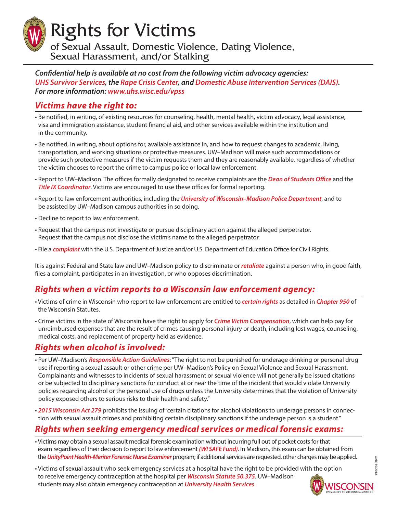Rights for Victims

of Sexual Assault, Domestic Violence, Dating Violence, Sexual Harassment, and/or Stalking

*Confidential help is available at no cost from the following victim advocacy agencies: [UHS Survivor Services](http://www.uhs.wisc.edu/vpss), the [Rape Crisis Center,](http://www.danecountyrcc.org) and [Domestic Abuse Intervention Services \(DAIS\).](http://abuseintervention.org) For more information: [www.uhs.wisc.edu/vpss](http://www.uhs.wisc.edu/vpss)*

## *Victims have the right to:*

- Be notified, in writing, of existing resources for counseling, health, mental health, victim advocacy, legal assistance, visa and immigration assistance, student financial aid, and other services available within the institution and in the community.
- Be notified, in writing, about options for, available assistance in, and how to request changes to academic, living, transportation, and working situations or protective measures. UW–Madison will make such accommodations or provide such protective measures if the victim requests them and they are reasonably available, regardless of whether the victim chooses to report the crime to campus police or local law enforcement.
- Report to UW–Madison. The offices formally designated to receive complaints are the *[Dean of Students Office](https://students.wisc.edu/)* and the *[Title IX Coordinator](https://compliance.wisc.edu/titleix/)*. Victims are encouraged to use these offices for formal reporting.
- Report to law enforcement authorities, including the *[University of Wisconsin–Madison Police Department](http://uwpd.wisc.edu/)*, and to be assisted by UW–Madison campus authorities in so doing.
- Decline to report to law enforcement.
- Request that the campus not investigate or pursue disciplinary action against the alleged perpetrator. Request that the campus not disclose the victim's name to the alleged perpetrator.
- File a *[complaint](https://www.notalone.gov/students/#how-do-i-file-a-complaint-about-my-school-and-then-what-happens)* with the U.S. Department of Justice and/or U.S. Department of Education Office for Civil Rights.

It is against Federal and State law and UW–Madison policy to discriminate or *[retaliate](http://www2.ed.gov/about/offices/list/ocr/letters/colleague-201304.html)* against a person who, in good faith, files a complaint, participates in an investigation, or who opposes discrimination.

#### *Rights when a victim reports to a Wisconsin law enforcement agency:*

- Victims of crime in Wisconsin who report to law enforcement are entitled to *[certain rights](http://www.doj.state.wi.us/ocvs/victim-rights/your-rights-victim)* as detailed in *[Chapter 950](http://docs.legis.wisconsin.gov/statutes/statutes/950)* of the Wisconsin Statutes.
- Crime victims in the state of Wisconsin have the right to apply for *[Crime Victim Compensation](http://www.doj.state.wi.us/ocvs/compensation/compensation-your-financial-losses)*, which can help pay for unreimbursed expenses that are the result of crimes causing personal injury or death, including lost wages, counseling, medical costs, and replacement of property held as evidence.

#### *Rights when alcohol is involved:*

- Per UW–Madison's *[Responsible Action Guidelines](https://compliance.wiscweb.wisc.edu/wp-content/uploads/sites/102/2018/09/UW-Madison-Policy-on-Sexual-Harassment-and-Sexual-Violence.pdf)*: "The right to not be punished for underage drinking or personal drug use if reporting a sexual assault or other crime per UW–Madison's Policy on Sexual Violence and Sexual Harassment. Complainants and witnesses to incidents of sexual harassment or sexual violence will not generally be issued citations or be subjected to disciplinary sanctions for conduct at or near the time of the incident that would violate University policies regarding alcohol or the personal use of drugs unless the University determines that the violation of University policy exposed others to serious risks to their health and safety."
- *[2015 Wisconsin](https://docs.legis.wisconsin.gov/2015/related/acts/279.pdf) Act 279* prohibits the issuing of "certain citations for alcohol violations to underage persons in connection with sexual assault crimes and prohibiting certain disciplinary sanctions if the underage person is a student."

# *Rights when seeking emergency medical services or medical forensic exams:*

- Victims may obtain a sexual assault medical forensic examination without incurring full out of pocket costs for that exam regardless of their decision to report to law enforcement *[\(WI SAFE Fund\)](https://www.doj.state.wi.us/ocvs/not-crime-victim/sexual-assault-forensic-exam)*. In Madison, this exam can be obtained from the *[UnityPoint Health-Meriter Forensic Nurse Examiner](http://www.unitypoint.org/madison/sexual-assault-nurse-examiner-program.aspx)* program; if additional services are requested, other charges may be applied.
- Victims of sexual assault who seek emergency services at a hospital have the right to be provided with the option to receive emergency contraception at the hospital per *[Wisconsin Statute 50.375](http://docs.legis.wisconsin.gov/statutes/statutes/50/II/375)*. UW–Madison students may also obtain emergency contraception at *[University Health Services](http://www.uhs.wisc.edu)*.